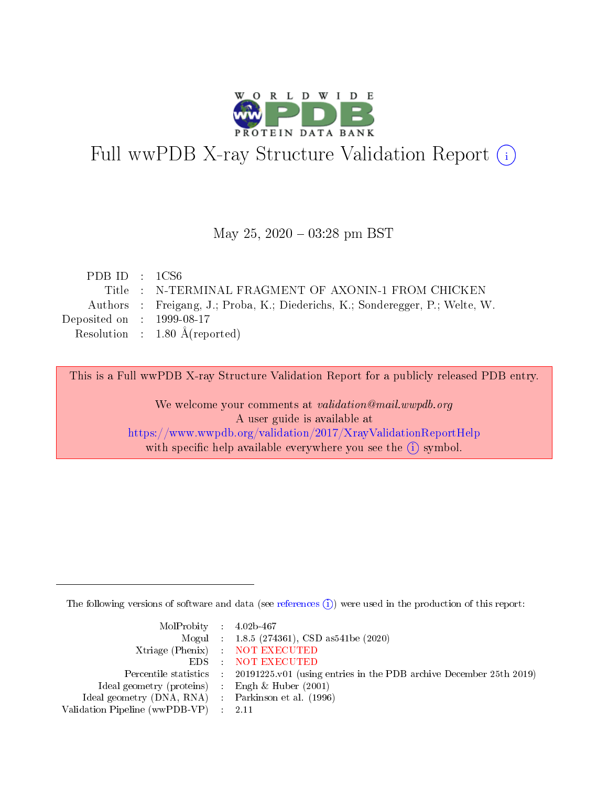

# Full wwPDB X-ray Structure Validation Report (i)

#### May 25,  $2020 - 03:28$  pm BST

| PDB ID : $1CS6$             |                                                                               |
|-----------------------------|-------------------------------------------------------------------------------|
|                             | Title : N-TERMINAL FRAGMENT OF AXONIN-1 FROM CHICKEN                          |
|                             | Authors : Freigang, J.; Proba, K.; Diederichs, K.; Sonderegger, P.; Welte, W. |
| Deposited on : $1999-08-17$ |                                                                               |
|                             | Resolution : $1.80 \text{ Å}$ (reported)                                      |

This is a Full wwPDB X-ray Structure Validation Report for a publicly released PDB entry.

We welcome your comments at validation@mail.wwpdb.org A user guide is available at <https://www.wwpdb.org/validation/2017/XrayValidationReportHelp> with specific help available everywhere you see the  $(i)$  symbol.

The following versions of software and data (see [references](https://www.wwpdb.org/validation/2017/XrayValidationReportHelp#references)  $(i)$ ) were used in the production of this report:

| $MolProbability$ 4.02b-467                          |                                                                                            |
|-----------------------------------------------------|--------------------------------------------------------------------------------------------|
|                                                     | Mogul : $1.8.5$ (274361), CSD as 541be (2020)                                              |
|                                                     | Xtriage (Phenix) NOT EXECUTED                                                              |
|                                                     | EDS NOT EXECUTED                                                                           |
|                                                     | Percentile statistics : 20191225.v01 (using entries in the PDB archive December 25th 2019) |
| Ideal geometry (proteins) :                         | Engh & Huber $(2001)$                                                                      |
| Ideal geometry (DNA, RNA) : Parkinson et al. (1996) |                                                                                            |
| Validation Pipeline (wwPDB-VP)                      | - 2.11                                                                                     |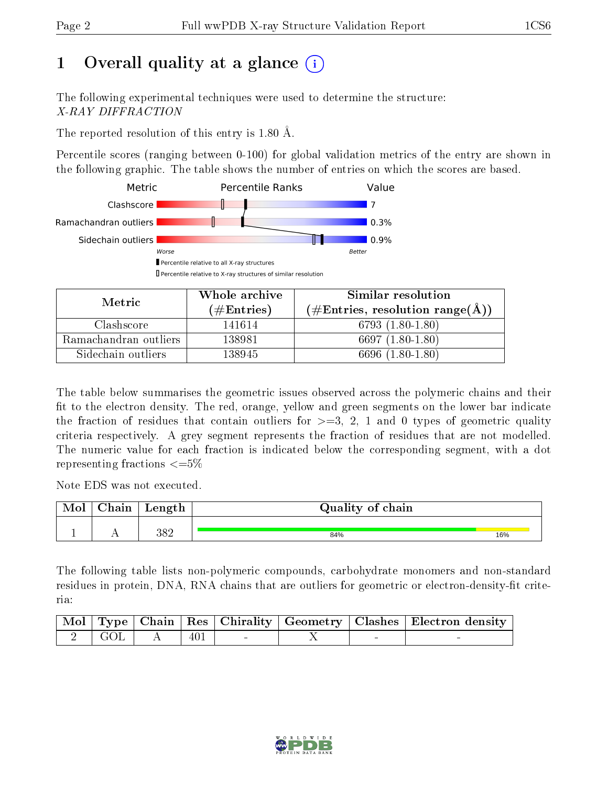# 1 [O](https://www.wwpdb.org/validation/2017/XrayValidationReportHelp#overall_quality)verall quality at a glance  $(i)$

The following experimental techniques were used to determine the structure: X-RAY DIFFRACTION

The reported resolution of this entry is 1.80 Å.

Percentile scores (ranging between 0-100) for global validation metrics of the entry are shown in the following graphic. The table shows the number of entries on which the scores are based.



| Metric                | Whole archive<br>$(\#\text{Entries})$ | Similar resolution<br>$(\#\text{Entries},\,\text{resolution}\,\,\text{range}(\textup{\AA}))$ |
|-----------------------|---------------------------------------|----------------------------------------------------------------------------------------------|
| Clashscore            | 141614                                | 6793 $(1.80-1.80)$                                                                           |
| Ramachandran outliers | 138981                                | 6697 $(1.80-1.80)$                                                                           |
| Sidechain outliers    | 138945                                | $(1.80 - 1.80)$<br>6696-6                                                                    |

The table below summarises the geometric issues observed across the polymeric chains and their fit to the electron density. The red, orange, yellow and green segments on the lower bar indicate the fraction of residues that contain outliers for  $\geq=3$ , 2, 1 and 0 types of geometric quality criteria respectively. A grey segment represents the fraction of residues that are not modelled. The numeric value for each fraction is indicated below the corresponding segment, with a dot representing fractions  $\leq=5\%$ 

Note EDS was not executed.

| Mol | $\cap$ hain | Length | Quality of chain |     |
|-----|-------------|--------|------------------|-----|
|     |             |        |                  |     |
|     | . .         | 382    | 84%              | 16% |

The following table lists non-polymeric compounds, carbohydrate monomers and non-standard residues in protein, DNA, RNA chains that are outliers for geometric or electron-density-fit criteria:

|                     |              |     |  | Mol   Type   Chain   Res   Chirality   Geometry   Clashes   Electron density |
|---------------------|--------------|-----|--|------------------------------------------------------------------------------|
| $\frac{1}{2}$   GOL | $\mathbf{A}$ | 401 |  |                                                                              |

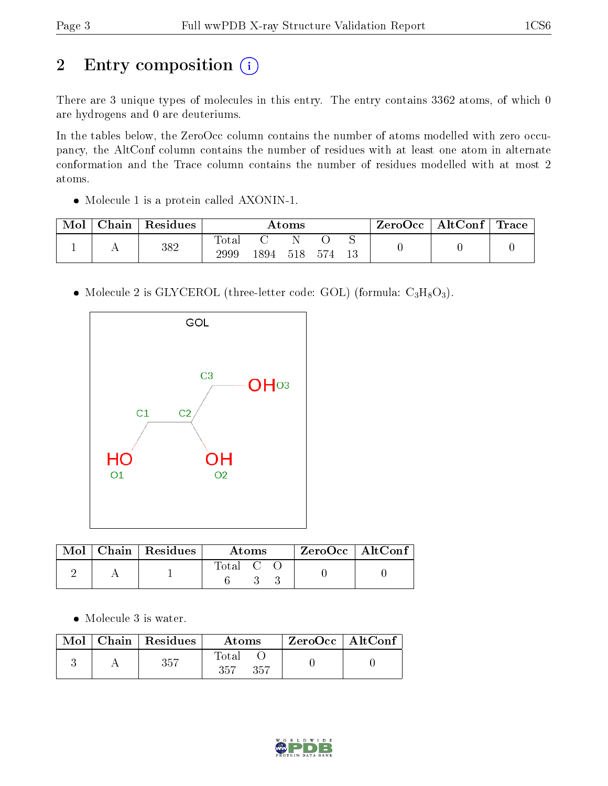# 2 Entry composition (i)

There are 3 unique types of molecules in this entry. The entry contains 3362 atoms, of which 0 are hydrogens and 0 are deuteriums.

In the tables below, the ZeroOcc column contains the number of atoms modelled with zero occupancy, the AltConf column contains the number of residues with at least one atom in alternate conformation and the Trace column contains the number of residues modelled with at most 2 atoms.

Molecule 1 is a protein called AXONIN-1.

| Mol | Chain | Residues | Atoms         |       |     |     | ZeroOcc | $\mid$ AltConf $\mid$ Trace $\mid$ |  |  |
|-----|-------|----------|---------------|-------|-----|-----|---------|------------------------------------|--|--|
|     |       | $382\,$  | Totar<br>2999 | 1894- | 518 | 574 | 13      |                                    |  |  |

• Molecule 2 is GLYCEROL (three-letter code: GOL) (formula:  $C_3H_8O_3$ ).



|  | $Mol$   Chain   Residues | Atoms   |  | $ZeroOcc$   AltConf |  |  |
|--|--------------------------|---------|--|---------------------|--|--|
|  |                          | Total C |  |                     |  |  |

• Molecule 3 is water.

|  | $\parallel$ Mol $\parallel$ Chain $\parallel$ Residues $\parallel$ | Atoms                | $\perp$ ZeroOcc $\parallel$ AltConf $\parallel$ |  |
|--|--------------------------------------------------------------------|----------------------|-------------------------------------------------|--|
|  | 357                                                                | Total<br>357<br>-357 |                                                 |  |

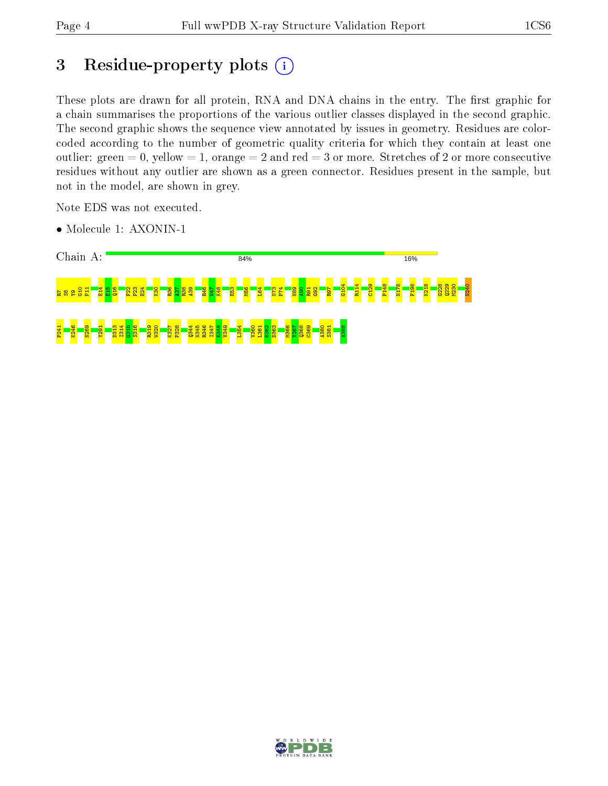# 3 Residue-property plots (i)

These plots are drawn for all protein, RNA and DNA chains in the entry. The first graphic for a chain summarises the proportions of the various outlier classes displayed in the second graphic. The second graphic shows the sequence view annotated by issues in geometry. Residues are colorcoded according to the number of geometric quality criteria for which they contain at least one outlier: green  $= 0$ , yellow  $= 1$ , orange  $= 2$  and red  $= 3$  or more. Stretches of 2 or more consecutive residues without any outlier are shown as a green connector. Residues present in the sample, but not in the model, are shown in grey.

Note EDS was not executed.

• Molecule 1: AXONIN-1



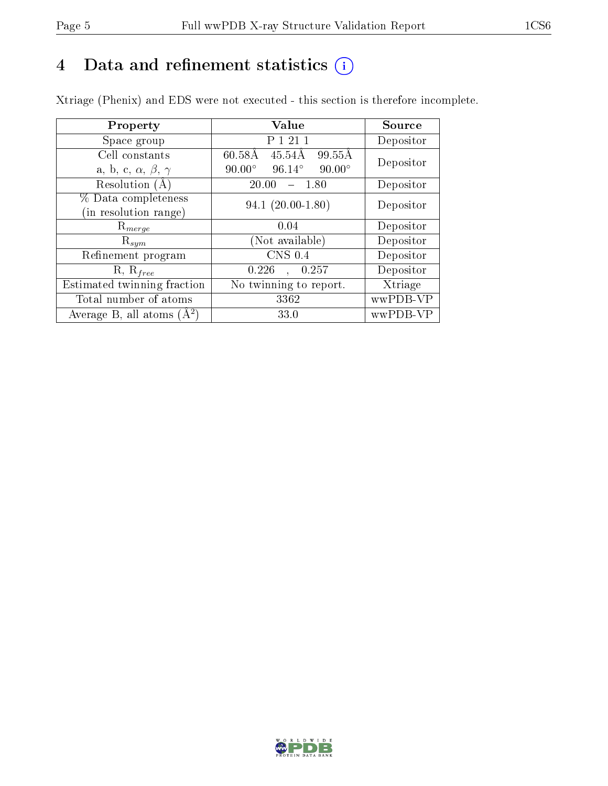# 4 Data and refinement statistics  $(i)$

Xtriage (Phenix) and EDS were not executed - this section is therefore incomplete.

| Property                               | Value                                             | Source    |  |
|----------------------------------------|---------------------------------------------------|-----------|--|
| Space group                            | P 1 21 1                                          | Depositor |  |
| Cell constants                         | $60.58\text{\AA}$<br>45.54Å<br>99.55Å             | Depositor |  |
| a, b, c, $\alpha$ , $\beta$ , $\gamma$ | $90.00^\circ$<br>$96.14^{\circ}$<br>$90.00^\circ$ |           |  |
| Resolution (A)                         | 20.00<br>- 1.80                                   | Depositor |  |
| % Data completeness                    | $94.1(20.00-1.80)$                                | Depositor |  |
| (in resolution range)                  |                                                   |           |  |
| $\mathrm{R}_{merge}$                   | 0.04                                              | Depositor |  |
| $\mathrm{R}_{sym}$                     | (Not available)                                   | Depositor |  |
| Refinement program                     | $\overline{\text{CNS}}$ 0.4                       | Depositor |  |
| $R, R_{free}$                          | 0.226<br>0.257<br>$\mathbf{A}$                    | Depositor |  |
| Estimated twinning fraction            | No twinning to report.                            | Xtriage   |  |
| Total number of atoms                  | 3362                                              | wwPDB-VP  |  |
| Average B, all atoms $(A^2)$           | 33.0                                              | wwPDB-VP  |  |

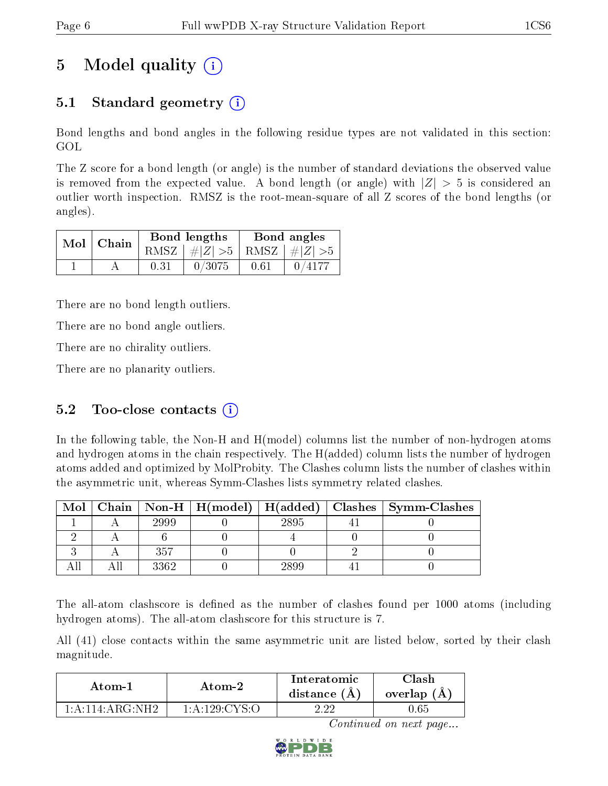# 5 Model quality  $(i)$

## 5.1 Standard geometry  $\overline{()}$

Bond lengths and bond angles in the following residue types are not validated in this section: GOL

The Z score for a bond length (or angle) is the number of standard deviations the observed value is removed from the expected value. A bond length (or angle) with  $|Z| > 5$  is considered an outlier worth inspection. RMSZ is the root-mean-square of all Z scores of the bond lengths (or angles).

| $Mol$   Chain |      | Bond lengths                    | Bond angles |        |  |
|---------------|------|---------------------------------|-------------|--------|--|
|               |      | RMSZ $ #Z  > 5$ RMSZ $ #Z  > 5$ |             |        |  |
|               | 0.31 | 0/3075                          | 0.61        | 0/4177 |  |

There are no bond length outliers.

There are no bond angle outliers.

There are no chirality outliers.

There are no planarity outliers.

### 5.2 Too-close contacts  $(i)$

In the following table, the Non-H and H(model) columns list the number of non-hydrogen atoms and hydrogen atoms in the chain respectively. The H(added) column lists the number of hydrogen atoms added and optimized by MolProbity. The Clashes column lists the number of clashes within the asymmetric unit, whereas Symm-Clashes lists symmetry related clashes.

| Mol |      |      | Chain   Non-H   H(model)   H(added)   Clashes   Symm-Clashes |
|-----|------|------|--------------------------------------------------------------|
|     | 2999 | 2895 |                                                              |
|     |      |      |                                                              |
|     | 357  |      |                                                              |
|     | 3362 | 2890 |                                                              |

The all-atom clashscore is defined as the number of clashes found per 1000 atoms (including hydrogen atoms). The all-atom clashscore for this structure is 7.

All (41) close contacts within the same asymmetric unit are listed below, sorted by their clash magnitude.

| Atom-1                                         | Atom-2           | Interatomic<br>distance $(A)$ | Clash<br>overlap (A) |
|------------------------------------------------|------------------|-------------------------------|----------------------|
| $1 \cdot A \cdot 114 \cdot A \cdot C \cdot NH$ | $1:$ A:129:CYS:O | ം വാ                          | .65                  |

Continued on next page...

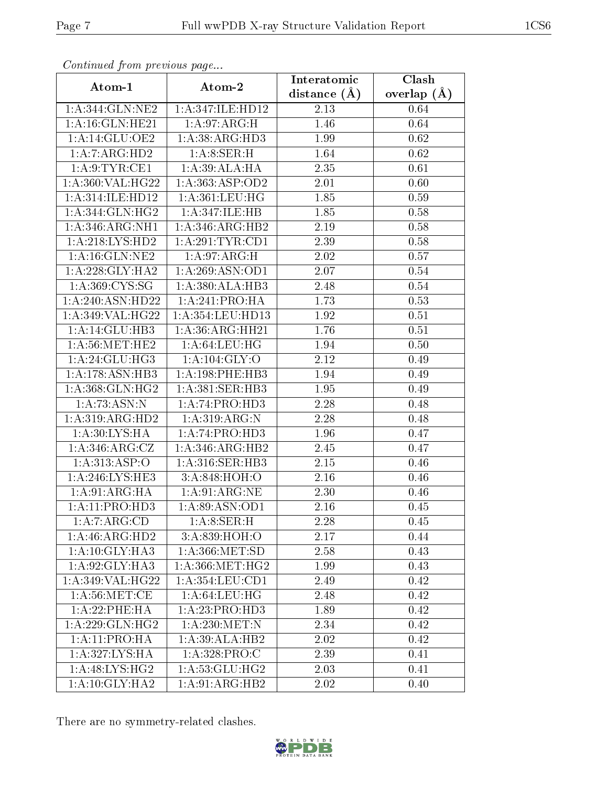| Communa from previous page  |                     | Interatomic       | Clash           |
|-----------------------------|---------------------|-------------------|-----------------|
| Atom-1                      | Atom-2              | distance $(\AA)$  | overlap $(\AA)$ |
| 1:A:344:GLN:NE2             | 1:A:347:ILE:HD12    | 2.13              | 0.64            |
| 1: A:16: GLN: HE21          | 1: A:97: ARG:H      | 1.46              | 0.64            |
| 1: A:14: GLU:OE2            | 1: A: 38: ARG: HD3  | 1.99              | 0.62            |
| 1:A:7:ARG:HD2               | 1: A:8: SER:H       | 1.64              | 0.62            |
| 1: A:9: TYR: CE1            | 1: A:39: ALA: HA    | 2.35              | 0.61            |
| 1:A:360:VAL:HG22            | 1: A: 363: ASP: OD2 | 2.01              | 0.60            |
| 1: A:314: ILE: HD12         | 1: A:361: LEU: HG   | 1.85              | 0.59            |
| 1:A:344:GLN:HG2             | 1: A:347: ILE: HB   | 1.85              | 0.58            |
| 1:A:346:ARG:NH1             | 1:A:346:ARG:HB2     | 2.19              | 0.58            |
| 1: A:218: LYS: HD2          | 1:A:291:TYR:CD1     | 2.39              | 0.58            |
| 1: A:16: GLN: NE2           | 1: A:97: ARG:H      | 2.02              | 0.57            |
| 1:A:228:GLY:HA2             | 1: A:269: ASN:OD1   | 2.07              | 0.54            |
| 1:A:369:CYS:SG              | 1:A:380:ALA:HB3     | 2.48              | 0.54            |
| 1:A:240:ASN:HD22            | 1:A:241:PRO:HA      | 1.73              | 0.53            |
| 1:A:349:VAL:HG22            | 1:A:354:LEU:HD13    | 1.92              | 0.51            |
| 1:A:14:GLU:HB3              | 1: A:36:ARG:HH21    | $\overline{1.76}$ | 0.51            |
| 1: A:56:MET:HE2             | 1: A:64:LEU:HG      | 1.94              | 0.50            |
| 1: A:24: GLU:HG3            | 1: A: 104: GLY:O    | 2.12              | 0.49            |
| 1:A:178:ASN:HB3             | 1:A:198:PHE:HB3     | 1.94              | 0.49            |
| 1: A: 368: GLN: HG2         | 1: A:381: SER:HB3   | 1.95              | 0.49            |
| 1: A:73: ASN:N              | 1:A:74:PRO:HD3      | 2.28              | 0.48            |
| 1:A:319:ARG:HD2             | 1: A:319: ARG: N    | 2.28              | 0.48            |
| 1: A:30: LYS: HA            | 1:A:74:PRO:HD3      | 1.96              | 0.47            |
| 1: A:346:ARG:CZ             | 1:A:346:ARG:HB2     | 2.45              | 0.47            |
| 1: A: 313: ASP: O           | 1:A:316:SER:HB3     | 2.15              | 0.46            |
| 1:A:246:LYS:HE3             | 3:A:848:HOH:O       | 2.16              | 0.46            |
| 1: A:91: ARG: HA            | 1: A:91:ARG:NE      | 2.30              | 0.46            |
| 1:A:11:PRO:HD3              | 1: A:89: ASN:OD1    | 2.16              | 0.45            |
| 1:A:7:ARG:CD                | 1: A:8: SER:H       | 2.28              | 0.45            |
| 1:A:46:ARG:HD2              | 3:A:839:HOH:O       | 2.17              | 0.44            |
| $1:A:10:GLY:H\overline{A3}$ | 1: A: 366: MET:SD   | 2.58              | 0.43            |
| 1: A:92: GLY:HA3            | 1: A: 366: MET:HG2  | 1.99              | 0.43            |
| 1: A:349: VAL: HG22         | 1: A: 354: LEU: CD1 | 2.49              | 0.42            |
| 1: A:56:MET:CE              | 1: A:64:LEU:HG      | 2.48              | 0.42            |
| 1:A:22:PHE:HA               | 1:A:23:PRO:HD3      | 1.89              | 0.42            |
| 1:A:229:GLN:HG2             | 1: A:230:MET:N      | 2.34              | 0.42            |
| 1:A:11:PRO:HA               | 1:A:39:ALA:HB2      | 2.02              | 0.42            |
| 1:A:327:LYS:HA              | 1:A:328:PRO:C       | 2.39              | 0.41            |
| 1:A:48:LYS:HG2              | 1:A:53:GLU:HG2      | 2.03              | 0.41            |
| 1: A:10: GLY:HA2            | 1:A:91:ARG:HB2      | 2.02              | 0.40            |

Continued from previous page.

There are no symmetry-related clashes.

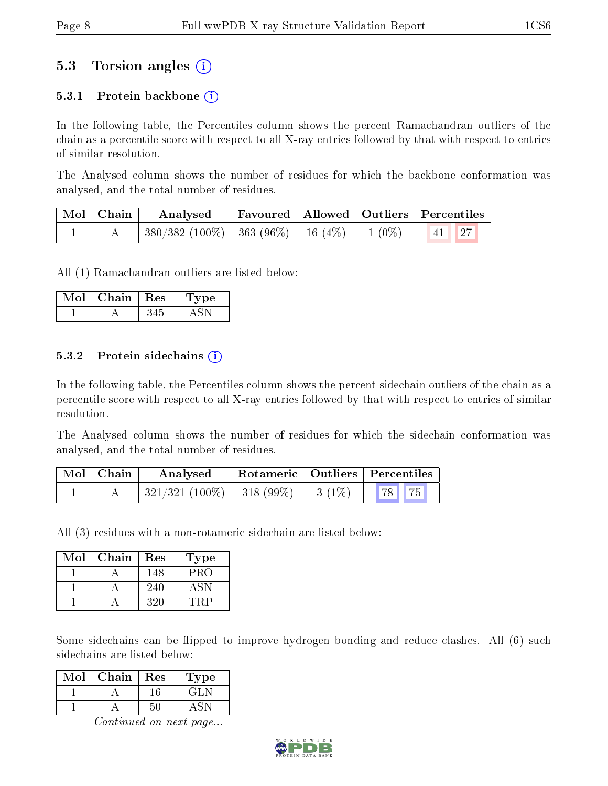### 5.3 Torsion angles (i)

#### 5.3.1 Protein backbone  $(i)$

In the following table, the Percentiles column shows the percent Ramachandran outliers of the chain as a percentile score with respect to all X-ray entries followed by that with respect to entries of similar resolution.

The Analysed column shows the number of residues for which the backbone conformation was analysed, and the total number of residues.

| $\mid$ Mol $\mid$ Chain $\mid$ | Analysed                                                       |  | Favoured   Allowed   Outliers   Percentiles |
|--------------------------------|----------------------------------------------------------------|--|---------------------------------------------|
|                                | $\mid$ 380/382 (100%)   363 (96%)   16 (4%)   1 (0%)   41   27 |  |                                             |

All (1) Ramachandran outliers are listed below:

| Mol | Chain | Res | Lype |
|-----|-------|-----|------|
|     |       |     |      |

#### 5.3.2 Protein sidechains  $\hat{1}$

In the following table, the Percentiles column shows the percent sidechain outliers of the chain as a percentile score with respect to all X-ray entries followed by that with respect to entries of similar resolution.

The Analysed column shows the number of residues for which the sidechain conformation was analysed, and the total number of residues.

| Mol   Chain | Rotameric   Outliers   Percentiles<br>Analysed |  |          |                             |  |
|-------------|------------------------------------------------|--|----------|-----------------------------|--|
|             | $ 321/321(100\%) 318(99\%)$                    |  | $3(1\%)$ | $\mid 78 \mid \mid 75 \mid$ |  |

All (3) residues with a non-rotameric sidechain are listed below:

| Mol | Chain | Res | Type |
|-----|-------|-----|------|
|     |       | 148 | PRO  |
|     |       | 240 | A SN |
|     |       | 320 |      |

Some sidechains can be flipped to improve hydrogen bonding and reduce clashes. All (6) such sidechains are listed below:

| Mol | Chain | Res | Type  |
|-----|-------|-----|-------|
|     |       |     | E PIT |
|     |       |     |       |

Continued on next page...

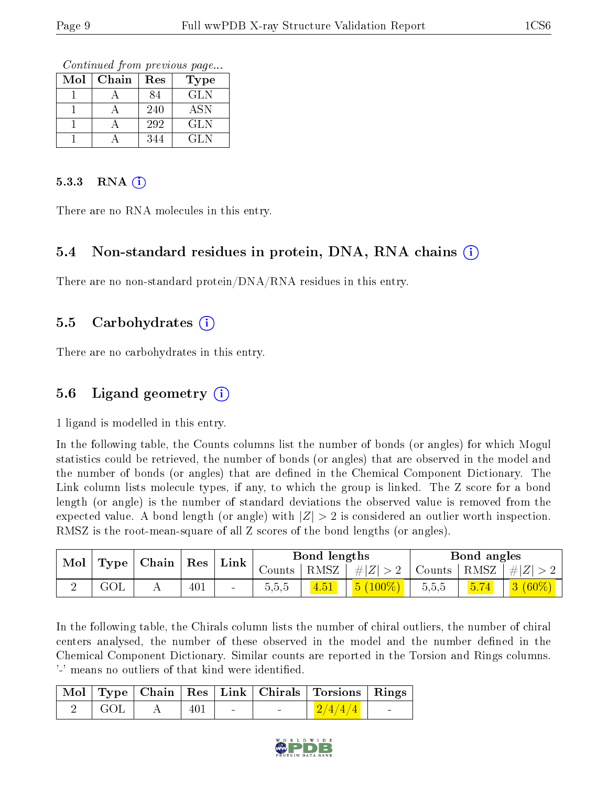Continued from previous page...

| Mol | Chain | Res | Type       |
|-----|-------|-----|------------|
|     |       | 84  | <b>GLN</b> |
|     |       | 240 | <b>ASN</b> |
|     |       | 292 | <b>GLN</b> |
|     |       | 344 | GL N       |

#### 5.3.3 RNA  $(i)$

There are no RNA molecules in this entry.

#### 5.4 Non-standard residues in protein, DNA, RNA chains  $(i)$

There are no non-standard protein/DNA/RNA residues in this entry.

#### 5.5 Carbohydrates  $(i)$

There are no carbohydrates in this entry.

#### 5.6 Ligand geometry  $(i)$

1 ligand is modelled in this entry.

In the following table, the Counts columns list the number of bonds (or angles) for which Mogul statistics could be retrieved, the number of bonds (or angles) that are observed in the model and the number of bonds (or angles) that are defined in the Chemical Component Dictionary. The Link column lists molecule types, if any, to which the group is linked. The Z score for a bond length (or angle) is the number of standard deviations the observed value is removed from the expected value. A bond length (or angle) with  $|Z| > 2$  is considered an outlier worth inspection. RMSZ is the root-mean-square of all Z scores of the bond lengths (or angles).

| Mol | Type | Chain | Res | Link   |          | Bond lengths |           |       | Bond angles   |               |
|-----|------|-------|-----|--------|----------|--------------|-----------|-------|---------------|---------------|
|     |      |       |     |        | Counts - | RMSZ         | $\pm  Z $ |       | Counts   RMSZ | $\perp \# Z $ |
|     |      | . .   | 401 | $\sim$ | 5.5.5    |              | $(100\%)$ | 5,5,5 | 5.74          | $3(60\%)$     |

In the following table, the Chirals column lists the number of chiral outliers, the number of chiral centers analysed, the number of these observed in the model and the number defined in the Chemical Component Dictionary. Similar counts are reported in the Torsion and Rings columns. '-' means no outliers of that kind were identified.

|      |              |     |  | Mol   Type   Chain   Res   Link   Chirals   Torsions   Rings |                          |
|------|--------------|-----|--|--------------------------------------------------------------|--------------------------|
| GOL- | $\mathbf{A}$ | 401 |  | $+2/4/4/4$                                                   | <b>Contract Contract</b> |

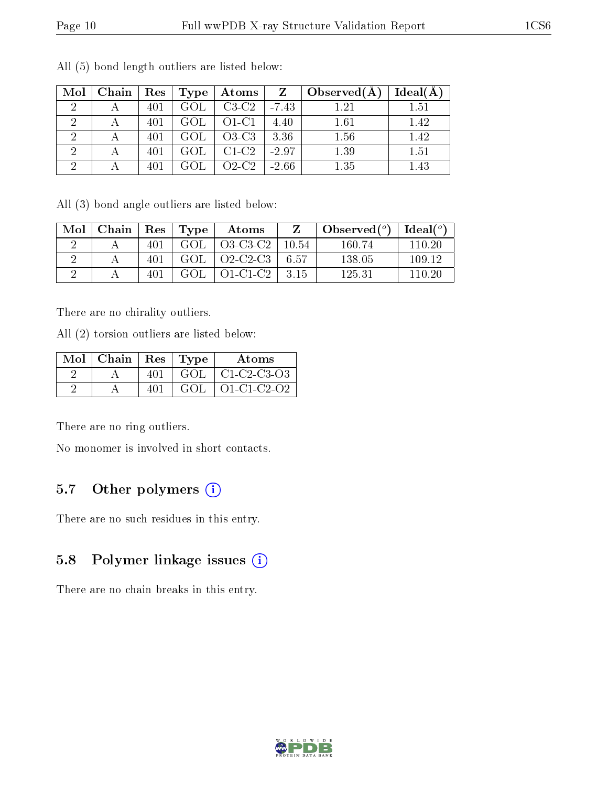| Mol                         | Chain | $\vert$ Res $\vert$ | Type | $\boldsymbol{\mathrm{Atoms}}$ | $\mathbf{Z}$ | $\mid$ Observed( $\AA$ ) | $Ideal(\AA)$ |
|-----------------------------|-------|---------------------|------|-------------------------------|--------------|--------------------------|--------------|
| $\mathcal{D}_{\mathcal{A}}$ |       | 401                 | GOL  | $C3-C2$                       | $-7.43$      | 1.21                     | 1.51         |
| $\mathcal{D}$               |       | 401                 | GOL  | $O1-C1$                       | 4.40         | 1.61                     | 1.42         |
|                             |       | 401                 | GOL  | $O3-C3$                       | 3.36         | 1.56                     | 1.42         |
|                             |       | 401                 | GOL  | $C1-C2$                       | $-2.97$      | 1.39                     | 1.51         |
|                             |       | 401                 | GOL  | $O2-C2$                       | $-2.66$      | 1.35                     | 1.43         |

All (5) bond length outliers are listed below:

All (3) bond angle outliers are listed below:

| Mol | Chain |     | Res   Type | Atoms       |        | Observed $\binom{o}{c}$ | $Ideal(^o)$ |
|-----|-------|-----|------------|-------------|--------|-------------------------|-------------|
|     |       | 401 | GOL        | O3-C3-C2    | -10.54 | 160.74                  | 110-20      |
|     |       | 401 | GOL        | $02$ -C2-C3 | 6.57   | 138.05                  | 109.12      |
|     |       | 401 | GOL        | $O1-C1-C2$  | - 3 15 | 125.31                  | 110-20      |

There are no chirality outliers.

All (2) torsion outliers are listed below:

| Mol   Chain   Res   Type |     |      | Atoms               |
|--------------------------|-----|------|---------------------|
|                          | 401 | GOL  | $\mid$ C1-C2-C3-O3  |
|                          | 401 | GOL. | $\vert$ O1-C1-C2-O2 |

There are no ring outliers.

No monomer is involved in short contacts.

### 5.7 [O](https://www.wwpdb.org/validation/2017/XrayValidationReportHelp#nonstandard_residues_and_ligands)ther polymers (i)

There are no such residues in this entry.

### 5.8 Polymer linkage issues  $(i)$

There are no chain breaks in this entry.